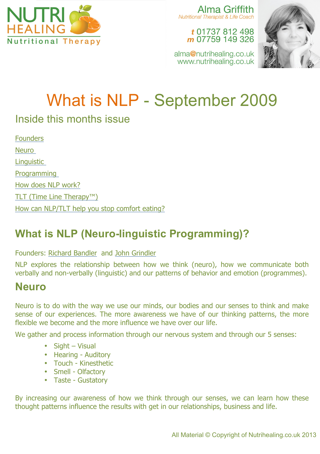

Alma Griffith Nutritional Therapist & Life Coach

t 01737 812 498 m 07759 149 326

alma@nutrihealing.co.uk www.nutrihealing.co.uk



# What is NLP - September 2009

### Inside this months issue

**Founders** Neuro **Linguistic** Programming How does NLP work? TLT (Time Line Therapy™) How can NLP/TLT help you stop comfort eating?

## **What is NLP (Neuro-linguistic Programming)?**

#### Founders: Richard Bandler and John Grindler

NLP explores the relationship between how we think (neuro), how we communicate both verbally and non-verbally (linguistic) and our patterns of behavior and emotion (programmes).

#### **Neuro**

Neuro is to do with the way we use our minds, our bodies and our senses to think and make sense of our experiences. The more awareness we have of our thinking patterns, the more flexible we become and the more influence we have over our life.

We gather and process information through our nervous system and through our 5 senses:

- Sight Visual
- Hearing Auditory
- Touch Kinesthetic
- Smell Olfactory
- Taste Gustatory

By increasing our awareness of how we think through our senses, we can learn how these thought patterns influence the results with get in our relationships, business and life.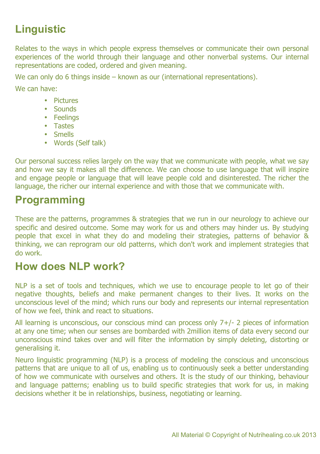# **Linguistic**

Relates to the ways in which people express themselves or communicate their own personal experiences of the world through their language and other nonverbal systems. Our internal representations are coded, ordered and given meaning.

We can only do 6 things inside – known as our (international representations).

We can have:

- Pictures
- Sounds
- Feelings
- Tastes
- Smells
- Words (Self talk)

Our personal success relies largely on the way that we communicate with people, what we say and how we say it makes all the difference. We can choose to use language that will inspire and engage people or language that will leave people cold and disinterested. The richer the language, the richer our internal experience and with those that we communicate with.

### **Programming**

These are the patterns, programmes & strategies that we run in our neurology to achieve our specific and desired outcome. Some may work for us and others may hinder us. By studying people that excel in what they do and modeling their strategies, patterns of behavior & thinking, we can reprogram our old patterns, which don't work and implement strategies that do work.

### **How does NLP work?**

NLP is a set of tools and techniques, which we use to encourage people to let go of their negative thoughts, beliefs and make permanent changes to their lives. It works on the unconscious level of the mind; which runs our body and represents our internal representation of how we feel, think and react to situations.

All learning is unconscious, our conscious mind can process only 7+/- 2 pieces of information at any one time; when our senses are bombarded with 2million items of data every second our unconscious mind takes over and will filter the information by simply deleting, distorting or generalising it.

Neuro linguistic programming (NLP) is a process of modeling the conscious and unconscious patterns that are unique to all of us, enabling us to continuously seek a better understanding of how we communicate with ourselves and others. It is the study of our thinking, behaviour and language patterns; enabling us to build specific strategies that work for us, in making decisions whether it be in relationships, business, negotiating or learning.